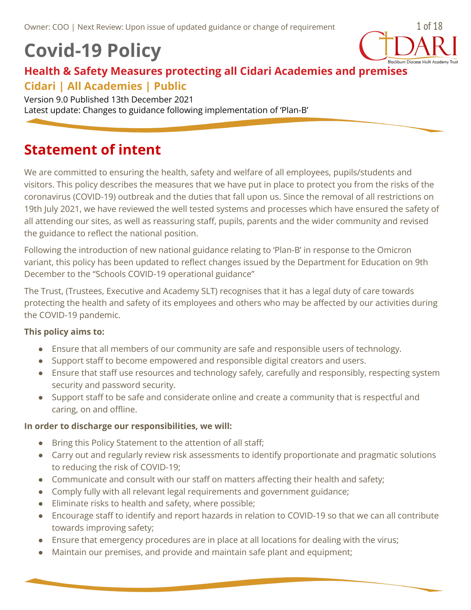# **Covid-19 Policy**



## **Health & Safety Measures protecting all Cidari Academies and premises Cidari | All Academies | Public**

Version 9.0 Published 13th December 2021 Latest update: Changes to guidance following implementation of 'Plan-B'

## <span id="page-0-0"></span>**Statement of intent**

We are committed to ensuring the health, safety and welfare of all employees, pupils/students and visitors. This policy describes the measures that we have put in place to protect you from the risks of the coronavirus (COVID-19) outbreak and the duties that fall upon us. Since the removal of all restrictions on 19th July 2021, we have reviewed the well tested systems and processes which have ensured the safety of all attending our sites, as well as reassuring staff, pupils, parents and the wider community and revised the guidance to reflect the national position.

Following the introduction of new national guidance relating to 'Plan-B' in response to the Omicron variant, this policy has been updated to reflect changes issued by the Department for Education on 9th December to the "Schools COVID-19 operational guidance"

The Trust, (Trustees, Executive and Academy SLT) recognises that it has a legal duty of care towards protecting the health and safety of its employees and others who may be affected by our activities during the COVID-19 pandemic.

#### <span id="page-0-1"></span>**This policy aims to:**

- Ensure that all members of our community are safe and responsible users of technology.
- Support staff to become empowered and responsible digital creators and users.
- Ensure that staff use resources and technology safely, carefully and responsibly, respecting system security and password security.
- Support staff to be safe and considerate online and create a community that is respectful and caring, on and offline.

#### <span id="page-0-2"></span>**In order to discharge our responsibilities, we will:**

- Bring this Policy Statement to the attention of all staff;
- Carry out and regularly review risk assessments to identify proportionate and pragmatic solutions to reducing the risk of COVID-19;
- Communicate and consult with our staff on matters affecting their health and safety;
- Comply fully with all relevant legal requirements and government guidance;
- Eliminate risks to health and safety, where possible;
- Encourage staff to identify and report hazards in relation to COVID-19 so that we can all contribute towards improving safety;
- Ensure that emergency procedures are in place at all locations for dealing with the virus;
- Maintain our premises, and provide and maintain safe plant and equipment;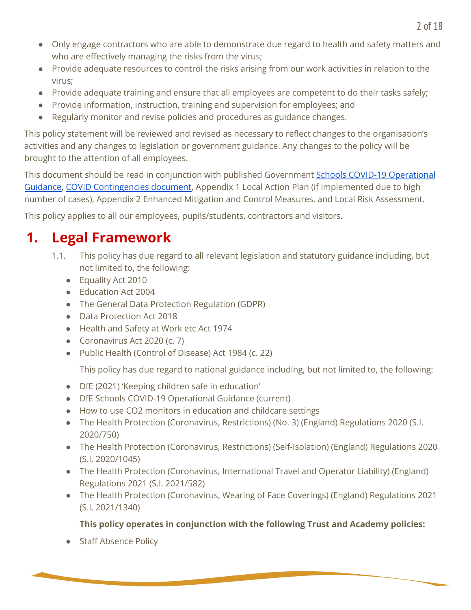- Only engage contractors who are able to demonstrate due regard to health and safety matters and who are effectively managing the risks from the virus;
- Provide adequate resources to control the risks arising from our work activities in relation to the virus;
- Provide adequate training and ensure that all employees are competent to do their tasks safely;
- Provide information, instruction, training and supervision for employees; and
- Regularly monitor and revise policies and procedures as guidance changes.

This policy statement will be reviewed and revised as necessary to reflect changes to the organisation's activities and any changes to legislation or government guidance. Any changes to the policy will be brought to the attention of all employees.

This document should be read in conjunction with published Government Schools COVID-19 [Operational](https://www.gov.uk/government/publications/actions-for-schools-during-the-coronavirus-outbreak/schools-covid-19-operational-guidance) [Guidance](https://www.gov.uk/government/publications/actions-for-schools-during-the-coronavirus-outbreak/schools-covid-19-operational-guidance), COVID [Contingencies](https://docs.google.com/document/d/1p5qt_JmTmXqEcGQn8lP6Z42NuvngyGpfPaKYAbjJC8I/edit#) document, Appendix 1 Local Action Plan (if implemented due to high number of cases), Appendix 2 Enhanced Mitigation and Control Measures, and Local Risk Assessment.

This policy applies to all our employees, pupils/students, contractors and visitors.

# <span id="page-1-0"></span>**1. Legal Framework**

- 1.1. This policy has due regard to all relevant legislation and statutory guidance including, but not limited to, the following:
	- Equality Act 2010
	- Education Act 2004
	- The General Data Protection Regulation (GDPR)
	- Data Protection Act 2018
	- Health and Safety at Work etc Act 1974
	- Coronavirus Act 2020 (c. 7)
	- Public Health (Control of Disease) Act 1984 (c. 22)

This policy has due regard to national guidance including, but not limited to, the following:

- DfE (2021) 'Keeping children safe in education'
- DfE Schools COVID-19 Operational Guidance (current)
- How to use CO2 monitors in education and childcare settings
- The Health Protection (Coronavirus, Restrictions) (No. 3) (England) Regulations 2020 (S.I. 2020/750)
- The Health Protection (Coronavirus, Restrictions) (Self-Isolation) (England) Regulations 2020 (S.I. 2020/1045)
- The Health Protection (Coronavirus, International Travel and Operator Liability) (England) Regulations 2021 (S.I. 2021/582)
- The Health Protection (Coronavirus, Wearing of Face Coverings) (England) Regulations 2021 (S.I. 2021/1340)

## **This policy operates in conjunction with the following Trust and Academy policies:**

● Staff Absence Policy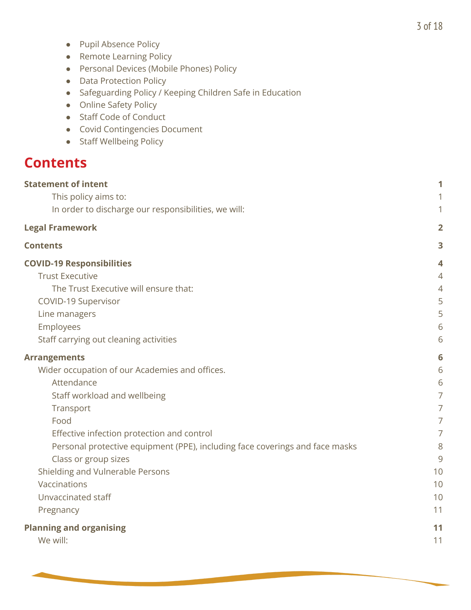- Pupil Absence Policy
- Remote Learning Policy
- Personal Devices (Mobile Phones) Policy
- Data Protection Policy
- Safeguarding Policy / Keeping Children Safe in Education
- Online Safety Policy
- Staff Code of Conduct
- Covid Contingencies Document
- Staff Wellbeing Policy

## <span id="page-2-0"></span>**Contents**

| <b>Statement of intent</b>                                                   | 1              |
|------------------------------------------------------------------------------|----------------|
| This policy aims to:                                                         | 1              |
| In order to discharge our responsibilities, we will:                         | 1              |
| <b>Legal Framework</b>                                                       | $\overline{2}$ |
| <b>Contents</b>                                                              | 3              |
| <b>COVID-19 Responsibilities</b>                                             | 4              |
| <b>Trust Executive</b>                                                       | $\overline{4}$ |
| The Trust Executive will ensure that:                                        | 4              |
| COVID-19 Supervisor                                                          | 5              |
| Line managers                                                                | 5              |
| Employees                                                                    | 6              |
| Staff carrying out cleaning activities                                       | 6              |
| <b>Arrangements</b>                                                          | 6              |
| Wider occupation of our Academies and offices.                               | 6              |
| Attendance                                                                   | 6              |
| Staff workload and wellbeing                                                 | $\overline{7}$ |
| Transport                                                                    | 7              |
| Food                                                                         | 7              |
| Effective infection protection and control                                   | $\overline{7}$ |
| Personal protective equipment (PPE), including face coverings and face masks | 8              |
| Class or group sizes                                                         | 9              |
| Shielding and Vulnerable Persons                                             | 10             |
| Vaccinations                                                                 | 10             |
| Unvaccinated staff                                                           | 10             |
| Pregnancy                                                                    | 11             |
| <b>Planning and organising</b>                                               | 11             |
| We will:                                                                     | 11             |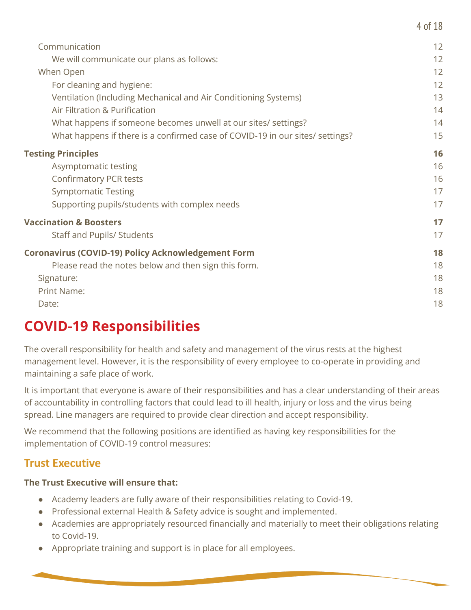| Communication                                                                 | 12 |
|-------------------------------------------------------------------------------|----|
| We will communicate our plans as follows:                                     | 12 |
| When Open                                                                     | 12 |
| For cleaning and hygiene:                                                     | 12 |
| Ventilation (Including Mechanical and Air Conditioning Systems)               | 13 |
| Air Filtration & Purification                                                 | 14 |
| What happens if someone becomes unwell at our sites/ settings?                | 14 |
| What happens if there is a confirmed case of COVID-19 in our sites/ settings? | 15 |
| <b>Testing Principles</b>                                                     | 16 |
| Asymptomatic testing                                                          | 16 |
| <b>Confirmatory PCR tests</b>                                                 | 16 |
| <b>Symptomatic Testing</b>                                                    | 17 |
| Supporting pupils/students with complex needs                                 | 17 |
| <b>Vaccination &amp; Boosters</b>                                             | 17 |
| <b>Staff and Pupils/ Students</b>                                             | 17 |
| <b>Coronavirus (COVID-19) Policy Acknowledgement Form</b>                     | 18 |
| Please read the notes below and then sign this form.                          | 18 |
| Signature:                                                                    | 18 |
| Print Name:                                                                   | 18 |
| Date:                                                                         | 18 |
|                                                                               |    |

4 of 18

## <span id="page-3-0"></span>**COVID-19 Responsibilities**

The overall responsibility for health and safety and management of the virus rests at the highest management level. However, it is the responsibility of every employee to co-operate in providing and maintaining a safe place of work.

It is important that everyone is aware of their responsibilities and has a clear understanding of their areas of accountability in controlling factors that could lead to ill health, injury or loss and the virus being spread. Line managers are required to provide clear direction and accept responsibility.

We recommend that the following positions are identified as having key responsibilities for the implementation of COVID-19 control measures:

## <span id="page-3-1"></span>**Trust Executive**

#### <span id="page-3-2"></span>**The Trust Executive will ensure that:**

- Academy leaders are fully aware of their responsibilities relating to Covid-19.
- Professional external Health & Safety advice is sought and implemented.
- Academies are appropriately resourced financially and materially to meet their obligations relating to Covid-19.
- Appropriate training and support is in place for all employees.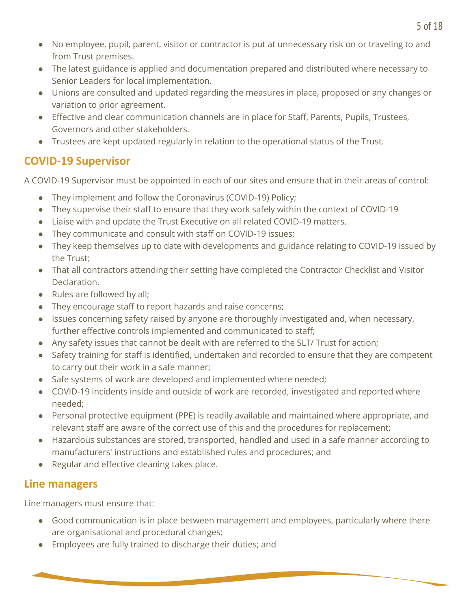- No employee, pupil, parent, visitor or contractor is put at unnecessary risk on or traveling to and from Trust premises.
- The latest guidance is applied and documentation prepared and distributed where necessary to Senior Leaders for local implementation.
- Unions are consulted and updated regarding the measures in place, proposed or any changes or variation to prior agreement.
- Effective and clear communication channels are in place for Staff, Parents, Pupils, Trustees, Governors and other stakeholders.
- Trustees are kept updated regularly in relation to the operational status of the Trust.

## <span id="page-4-0"></span>**COVID-19 Supervisor**

A COVID-19 Supervisor must be appointed in each of our sites and ensure that in their areas of control:

- They implement and follow the Coronavirus (COVID-19) Policy;
- They supervise their staff to ensure that they work safely within the context of COVID-19
- Liaise with and update the Trust Executive on all related COVID-19 matters.
- They communicate and consult with staff on COVID-19 issues;
- They keep themselves up to date with developments and guidance relating to COVID-19 issued by the Trust;
- That all contractors attending their setting have completed the Contractor Checklist and Visitor Declaration.
- Rules are followed by all;
- They encourage staff to report hazards and raise concerns;
- Issues concerning safety raised by anyone are thoroughly investigated and, when necessary, further effective controls implemented and communicated to staff;
- Any safety issues that cannot be dealt with are referred to the SLT/ Trust for action;
- Safety training for staff is identified, undertaken and recorded to ensure that they are competent to carry out their work in a safe manner;
- Safe systems of work are developed and implemented where needed;
- COVID-19 incidents inside and outside of work are recorded, investigated and reported where needed;
- Personal protective equipment (PPE) is readily available and maintained where appropriate, and relevant staff are aware of the correct use of this and the procedures for replacement;
- Hazardous substances are stored, transported, handled and used in a safe manner according to manufacturers' instructions and established rules and procedures; and
- Regular and effective cleaning takes place.

## <span id="page-4-1"></span>**Line managers**

Line managers must ensure that:

- Good communication is in place between management and employees, particularly where there are organisational and procedural changes;
- Employees are fully trained to discharge their duties; and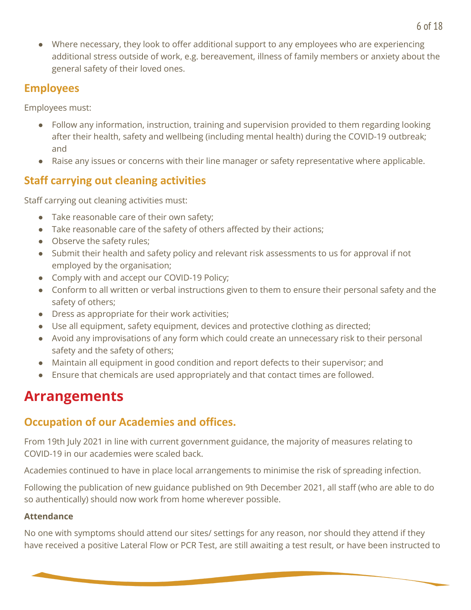● Where necessary, they look to offer additional support to any employees who are experiencing additional stress outside of work, e.g. bereavement, illness of family members or anxiety about the general safety of their loved ones.

## <span id="page-5-0"></span>**Employees**

Employees must:

- Follow any information, instruction, training and supervision provided to them regarding looking after their health, safety and wellbeing (including mental health) during the COVID-19 outbreak; and
- Raise any issues or concerns with their line manager or safety representative where applicable.

## <span id="page-5-1"></span>**Staff carrying out cleaning activities**

Staff carrying out cleaning activities must:

- Take reasonable care of their own safety;
- Take reasonable care of the safety of others affected by their actions;
- Observe the safety rules;
- Submit their health and safety policy and relevant risk assessments to us for approval if not employed by the organisation;
- Comply with and accept our COVID-19 Policy;
- Conform to all written or verbal instructions given to them to ensure their personal safety and the safety of others;
- Dress as appropriate for their work activities;
- Use all equipment, safety equipment, devices and protective clothing as directed;
- Avoid any improvisations of any form which could create an unnecessary risk to their personal safety and the safety of others;
- Maintain all equipment in good condition and report defects to their supervisor; and
- Ensure that chemicals are used appropriately and that contact times are followed.

# <span id="page-5-2"></span>**Arrangements**

## <span id="page-5-3"></span>**Occupation of our Academies and offices.**

From 19th July 2021 in line with current government guidance, the majority of measures relating to COVID-19 in our academies were scaled back.

Academies continued to have in place local arrangements to minimise the risk of spreading infection.

Following the publication of new guidance published on 9th December 2021, all staff (who are able to do so authentically) should now work from home wherever possible.

## <span id="page-5-4"></span>**Attendance**

No one with symptoms should attend our sites/ settings for any reason, nor should they attend if they have received a positive Lateral Flow or PCR Test, are still awaiting a test result, or have been instructed to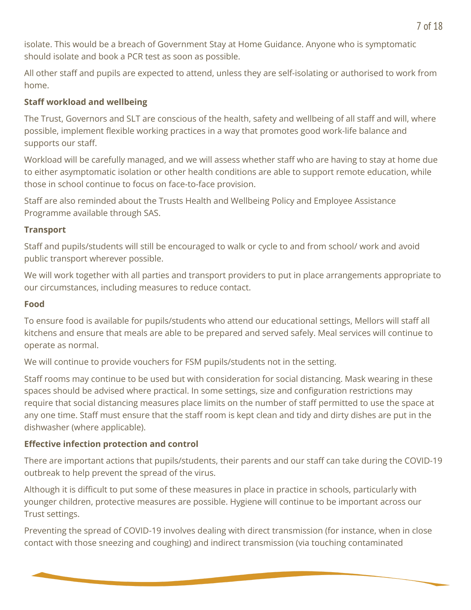isolate. This would be a breach of Government Stay at Home Guidance. Anyone who is symptomatic should isolate and book a PCR test as soon as possible.

All other staff and pupils are expected to attend, unless they are self-isolating or authorised to work from home.

## <span id="page-6-0"></span>**Staff workload and wellbeing**

The Trust, Governors and SLT are conscious of the health, safety and wellbeing of all staff and will, where possible, implement flexible working practices in a way that promotes good work-life balance and supports our staff.

Workload will be carefully managed, and we will assess whether staff who are having to stay at home due to either asymptomatic isolation or other health conditions are able to support remote education, while those in school continue to focus on face-to-face provision.

Staff are also reminded about the Trusts Health and Wellbeing Policy and Employee Assistance Programme available through SAS.

#### <span id="page-6-1"></span>**Transport**

Staff and pupils/students will still be encouraged to walk or cycle to and from school/ work and avoid public transport wherever possible.

We will work together with all parties and transport providers to put in place arrangements appropriate to our circumstances, including measures to reduce contact.

#### <span id="page-6-2"></span>**Food**

To ensure food is available for pupils/students who attend our educational settings, Mellors will staff all kitchens and ensure that meals are able to be prepared and served safely. Meal services will continue to operate as normal.

We will continue to provide vouchers for FSM pupils/students not in the setting.

Staff rooms may continue to be used but with consideration for social distancing. Mask wearing in these spaces should be advised where practical. In some settings, size and configuration restrictions may require that social distancing measures place limits on the number of staff permitted to use the space at any one time. Staff must ensure that the staff room is kept clean and tidy and dirty dishes are put in the dishwasher (where applicable).

## <span id="page-6-3"></span>**Effective infection protection and control**

There are important actions that pupils/students, their parents and our staff can take during the COVID-19 outbreak to help prevent the spread of the virus.

Although it is difficult to put some of these measures in place in practice in schools, particularly with younger children, protective measures are possible. Hygiene will continue to be important across our Trust settings.

Preventing the spread of COVID-19 involves dealing with direct transmission (for instance, when in close contact with those sneezing and coughing) and indirect transmission (via touching contaminated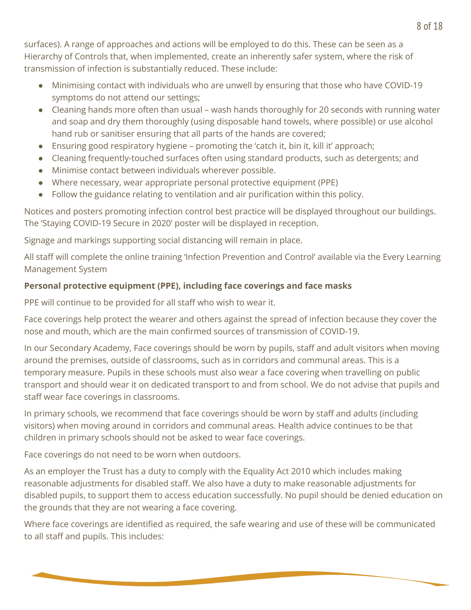surfaces). A range of approaches and actions will be employed to do this. These can be seen as a Hierarchy of Controls that, when implemented, create an inherently safer system, where the risk of transmission of infection is substantially reduced. These include:

- Minimising contact with individuals who are unwell by ensuring that those who have COVID-19 symptoms do not attend our settings;
- Cleaning hands more often than usual wash hands thoroughly for 20 seconds with running water and soap and dry them thoroughly (using disposable hand towels, where possible) or use alcohol hand rub or sanitiser ensuring that all parts of the hands are covered;
- Ensuring good respiratory hygiene promoting the 'catch it, bin it, kill it' approach;
- Cleaning frequently-touched surfaces often using standard products, such as detergents; and
- Minimise contact between individuals wherever possible.
- Where necessary, wear appropriate personal protective equipment (PPE)
- Follow the guidance relating to ventilation and air purification within this policy.

Notices and posters promoting infection control best practice will be displayed throughout our buildings. The 'Staying COVID-19 Secure in 2020' poster will be displayed in reception.

Signage and markings supporting social distancing will remain in place.

All staff will complete the online training 'Infection Prevention and Control' available via the Every Learning Management System

## <span id="page-7-0"></span>**Personal protective equipment (PPE), including face coverings and face masks**

PPE will continue to be provided for all staff who wish to wear it.

Face coverings help protect the wearer and others against the spread of infection because they cover the nose and mouth, which are the main confirmed sources of transmission of COVID-19.

In our Secondary Academy, Face coverings should be worn by pupils, staff and adult visitors when moving around the premises, outside of classrooms, such as in corridors and communal areas. This is a temporary measure. Pupils in these schools must also wear a face covering when travelling on public transport and should wear it on dedicated transport to and from school. We do not advise that pupils and staff wear face coverings in classrooms.

In primary schools, we recommend that face coverings should be worn by staff and adults (including visitors) when moving around in corridors and communal areas. Health advice continues to be that children in primary schools should not be asked to wear face coverings.

Face coverings do not need to be worn when outdoors.

As an employer the Trust has a duty to comply with the Equality Act 2010 which includes making reasonable adjustments for disabled staff. We also have a duty to make reasonable adjustments for disabled pupils, to support them to access education successfully. No pupil should be denied education on the grounds that they are not wearing a face covering.

Where face coverings are identified as required, the safe wearing and use of these will be communicated to all staff and pupils. This includes: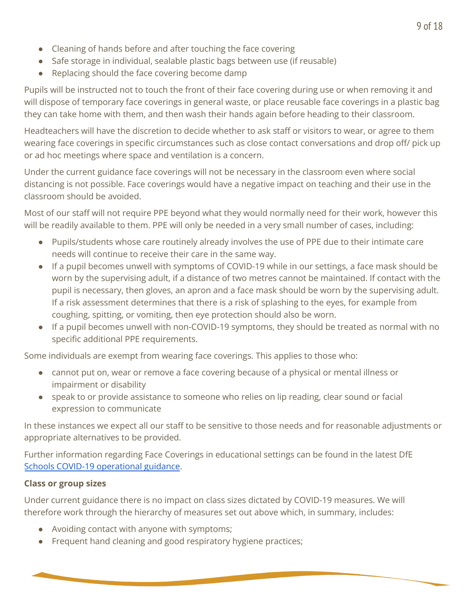- Cleaning of hands before and after touching the face covering
- Safe storage in individual, sealable plastic bags between use (if reusable)
- Replacing should the face covering become damp

Pupils will be instructed not to touch the front of their face covering during use or when removing it and will dispose of temporary face coverings in general waste, or place reusable face coverings in a plastic bag they can take home with them, and then wash their hands again before heading to their classroom.

Headteachers will have the discretion to decide whether to ask staff or visitors to wear, or agree to them wearing face coverings in specific circumstances such as close contact conversations and drop off/ pick up or ad hoc meetings where space and ventilation is a concern.

Under the current guidance face coverings will not be necessary in the classroom even where social distancing is not possible. Face coverings would have a negative impact on teaching and their use in the classroom should be avoided.

Most of our staff will not require PPE beyond what they would normally need for their work, however this will be readily available to them. PPE will only be needed in a very small number of cases, including:

- Pupils/students whose care routinely already involves the use of PPE due to their intimate care needs will continue to receive their care in the same way.
- If a pupil becomes unwell with symptoms of COVID-19 while in our settings, a face mask should be worn by the supervising adult, if a distance of two metres cannot be maintained. If contact with the pupil is necessary, then gloves, an apron and a face mask should be worn by the supervising adult. If a risk assessment determines that there is a risk of splashing to the eyes, for example from coughing, spitting, or vomiting, then eye protection should also be worn.
- If a pupil becomes unwell with non-COVID-19 symptoms, they should be treated as normal with no specific additional PPE requirements.

Some individuals are exempt from wearing face coverings. This applies to those who:

- cannot put on, wear or remove a face covering because of a physical or mental illness or impairment or disability
- speak to or provide assistance to someone who relies on lip reading, clear sound or facial expression to communicate

In these instances we expect all our staff to be sensitive to those needs and for reasonable adjustments or appropriate alternatives to be provided.

Further information regarding Face Coverings in educational settings can be found in the latest DfE Schools COVID-19 [operational](https://www.gov.uk/government/publications/actions-for-schools-during-the-coronavirus-outbreak/schools-covid-19-operational-guidance) guidance.

#### <span id="page-8-0"></span>**Class or group sizes**

Under current guidance there is no impact on class sizes dictated by COVID-19 measures. We will therefore work through the hierarchy of measures set out above which, in summary, includes:

- Avoiding contact with anyone with symptoms;
- Frequent hand cleaning and good respiratory hygiene practices;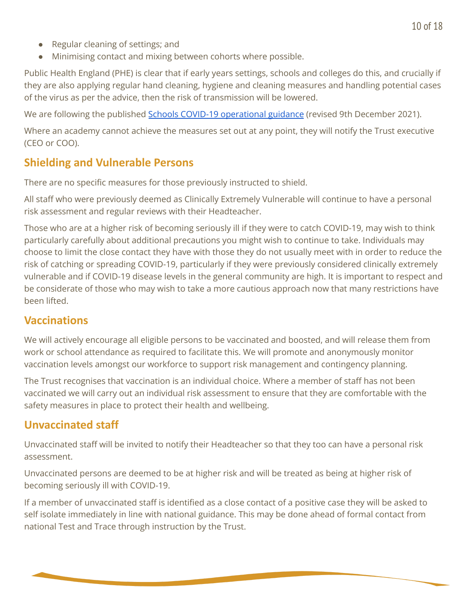- Regular cleaning of settings; and
- Minimising contact and mixing between cohorts where possible.

Public Health England (PHE) is clear that if early years settings, schools and colleges do this, and crucially if they are also applying regular hand cleaning, hygiene and cleaning measures and handling potential cases of the virus as per the advice, then the risk of transmission will be lowered.

We are following the published Schools COVID-19 [operational](https://www.gov.uk/government/publications/actions-for-schools-during-the-coronavirus-outbreak/schools-covid-19-operational-guidance) guidance (revised 9th December 2021).

Where an academy cannot achieve the measures set out at any point, they will notify the Trust executive (CEO or COO).

## <span id="page-9-0"></span>**Shielding and Vulnerable Persons**

There are no specific measures for those previously instructed to shield.

All staff who were previously deemed as Clinically Extremely Vulnerable will continue to have a personal risk assessment and regular reviews with their Headteacher.

Those who are at a higher risk of becoming seriously ill if they were to catch COVID-19, may wish to think particularly carefully about additional precautions you might wish to continue to take. Individuals may choose to limit the close contact they have with those they do not usually meet with in order to reduce the risk of catching or spreading COVID-19, particularly if they were previously considered clinically extremely vulnerable and if COVID-19 disease levels in the general community are high. It is important to respect and be considerate of those who may wish to take a more cautious approach now that many restrictions have been lifted.

## <span id="page-9-1"></span>**Vaccinations**

We will actively encourage all eligible persons to be vaccinated and boosted, and will release them from work or school attendance as required to facilitate this. We will promote and anonymously monitor vaccination levels amongst our workforce to support risk management and contingency planning.

The Trust recognises that vaccination is an individual choice. Where a member of staff has not been vaccinated we will carry out an individual risk assessment to ensure that they are comfortable with the safety measures in place to protect their health and wellbeing.

## <span id="page-9-2"></span>**Unvaccinated staff**

Unvaccinated staff will be invited to notify their Headteacher so that they too can have a personal risk assessment.

Unvaccinated persons are deemed to be at higher risk and will be treated as being at higher risk of becoming seriously ill with COVID-19.

If a member of unvaccinated staff is identified as a close contact of a positive case they will be asked to self isolate immediately in line with national guidance. This may be done ahead of formal contact from national Test and Trace through instruction by the Trust.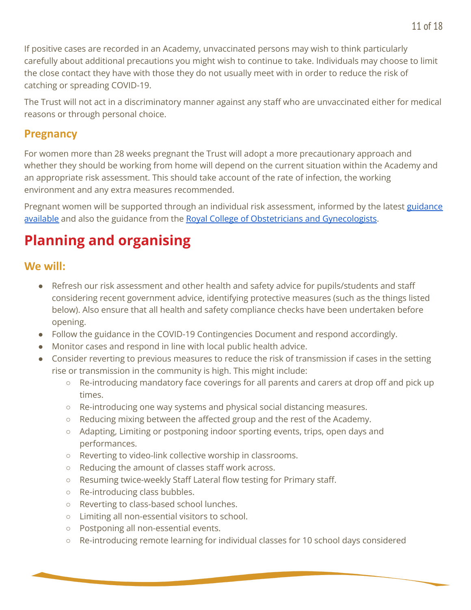If positive cases are recorded in an Academy, unvaccinated persons may wish to think particularly carefully about additional precautions you might wish to continue to take. Individuals may choose to limit the close contact they have with those they do not usually meet with in order to reduce the risk of catching or spreading COVID-19.

The Trust will not act in a discriminatory manner against any staff who are unvaccinated either for medical reasons or through personal choice.

## <span id="page-10-0"></span>**Pregnancy**

For women more than 28 weeks pregnant the Trust will adopt a more precautionary approach and whether they should be working from home will depend on the current situation within the Academy and an appropriate risk assessment. This should take account of the rate of infection, the working environment and any extra measures recommended.

Pregnant women will be supported through an individual risk assessment, informed by the latest [guidance](https://www.gov.uk/government/publications/coronavirus-covid-19-advice-for-pregnant-employees/coronavirus-covid-19-advice-for-pregnant-employees) [available](https://www.gov.uk/government/publications/coronavirus-covid-19-advice-for-pregnant-employees/coronavirus-covid-19-advice-for-pregnant-employees) and also the guidance from the Royal College of Obstetricians and [Gynecologists](https://www.rcog.org.uk/en/guidelines-research-services/guidelines/coronavirus-pregnancy/).

# <span id="page-10-1"></span>**Planning and organising**

## <span id="page-10-2"></span>**We will:**

- Refresh our risk assessment and other health and safety advice for pupils/students and staff considering recent government advice, identifying protective measures (such as the things listed below). Also ensure that all health and safety compliance checks have been undertaken before opening.
- Follow the guidance in the COVID-19 Contingencies Document and respond accordingly.
- Monitor cases and respond in line with local public health advice.
- Consider reverting to previous measures to reduce the risk of transmission if cases in the setting rise or transmission in the community is high. This might include:
	- Re-introducing mandatory face coverings for all parents and carers at drop off and pick up times.
	- Re-introducing one way systems and physical social distancing measures.
	- Reducing mixing between the affected group and the rest of the Academy.
	- Adapting, Limiting or postponing indoor sporting events, trips, open days and performances.
	- Reverting to video-link collective worship in classrooms.
	- Reducing the amount of classes staff work across.
	- Resuming twice-weekly Staff Lateral flow testing for Primary staff.
	- Re-introducing class bubbles.
	- Reverting to class-based school lunches.
	- Limiting all non-essential visitors to school.
	- Postponing all non-essential events.
	- Re-introducing remote learning for individual classes for 10 school days considered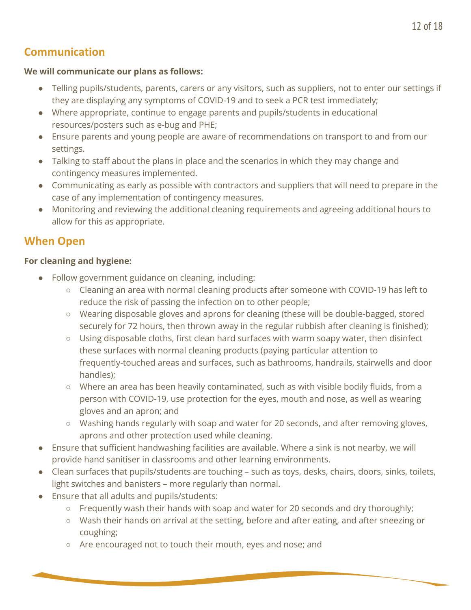## <span id="page-11-0"></span>**Communication**

#### <span id="page-11-1"></span>**We will communicate our plans as follows:**

- Telling pupils/students, parents, carers or any visitors, such as suppliers, not to enter our settings if they are displaying any symptoms of COVID-19 and to seek a PCR test immediately;
- Where appropriate, continue to engage parents and pupils/students in educational resources/posters such as e-bug and PHE;
- Ensure parents and young people are aware of recommendations on transport to and from our settings.
- Talking to staff about the plans in place and the scenarios in which they may change and contingency measures implemented.
- Communicating as early as possible with contractors and suppliers that will need to prepare in the case of any implementation of contingency measures.
- Monitoring and reviewing the additional cleaning requirements and agreeing additional hours to allow for this as appropriate.

## <span id="page-11-2"></span>**When Open**

#### <span id="page-11-3"></span>**For cleaning and hygiene:**

- Follow government guidance on cleaning, including:
	- Cleaning an area with normal cleaning products after someone with COVID-19 has left to reduce the risk of passing the infection on to other people;
	- Wearing disposable gloves and aprons for cleaning (these will be double-bagged, stored securely for 72 hours, then thrown away in the regular rubbish after cleaning is finished);
	- Using disposable cloths, first clean hard surfaces with warm soapy water, then disinfect these surfaces with normal cleaning products (paying particular attention to frequently-touched areas and surfaces, such as bathrooms, handrails, stairwells and door handles);
	- Where an area has been heavily contaminated, such as with visible bodily fluids, from a person with COVID-19, use protection for the eyes, mouth and nose, as well as wearing gloves and an apron; and
	- Washing hands regularly with soap and water for 20 seconds, and after removing gloves, aprons and other protection used while cleaning.
- Ensure that sufficient handwashing facilities are available. Where a sink is not nearby, we will provide hand sanitiser in classrooms and other learning environments.
- Clean surfaces that pupils/students are touching such as toys, desks, chairs, doors, sinks, toilets, light switches and banisters – more regularly than normal.
- Ensure that all adults and pupils/students:
	- Frequently wash their hands with soap and water for 20 seconds and dry thoroughly;
	- Wash their hands on arrival at the setting, before and after eating, and after sneezing or coughing;
	- Are encouraged not to touch their mouth, eyes and nose; and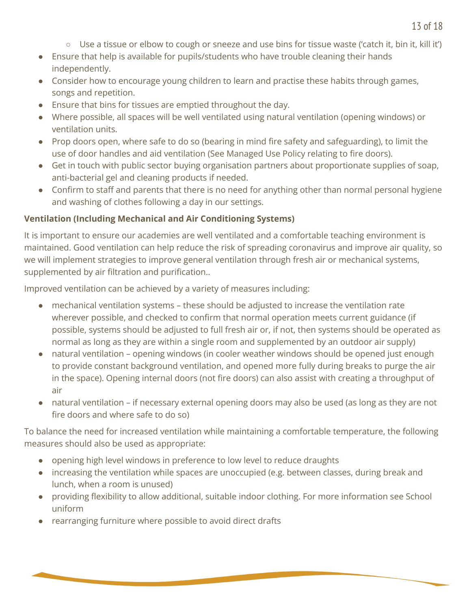- $\circ$  Use a tissue or elbow to cough or sneeze and use bins for tissue waste ('catch it, bin it, kill it')
- Ensure that help is available for pupils/students who have trouble cleaning their hands independently.
- Consider how to encourage young children to learn and practise these habits through games, songs and repetition.
- Ensure that bins for tissues are emptied throughout the day.
- Where possible, all spaces will be well ventilated using natural ventilation (opening windows) or ventilation units.
- Prop doors open, where safe to do so (bearing in mind fire safety and safeguarding), to limit the use of door handles and aid ventilation (See Managed Use Policy relating to fire doors).
- Get in touch with public sector buying organisation partners about proportionate supplies of soap, anti-bacterial gel and cleaning products if needed.
- Confirm to staff and parents that there is no need for anything other than normal personal hygiene and washing of clothes following a day in our settings.

#### <span id="page-12-0"></span>**Ventilation (Including Mechanical and Air Conditioning Systems)**

It is important to ensure our academies are well ventilated and a comfortable teaching environment is maintained. Good ventilation can help reduce the risk of spreading coronavirus and improve air quality, so we will implement strategies to improve general ventilation through fresh air or mechanical systems, supplemented by air filtration and purification..

Improved ventilation can be achieved by a variety of measures including:

- mechanical ventilation systems these should be adjusted to increase the ventilation rate wherever possible, and checked to confirm that normal operation meets current guidance (if possible, systems should be adjusted to full fresh air or, if not, then systems should be operated as normal as long as they are within a single room and supplemented by an outdoor air supply)
- natural ventilation opening windows (in cooler weather windows should be opened just enough to provide constant background ventilation, and opened more fully during breaks to purge the air in the space). Opening internal doors (not fire doors) can also assist with creating a throughput of air
- natural ventilation if necessary external opening doors may also be used (as long as they are not fire doors and where safe to do so)

To balance the need for increased ventilation while maintaining a comfortable temperature, the following measures should also be used as appropriate:

- opening high level windows in preference to low level to reduce draughts
- increasing the ventilation while spaces are unoccupied (e.g. between classes, during break and lunch, when a room is unused)
- providing flexibility to allow additional, suitable indoor clothing. For more information see School uniform
- rearranging furniture where possible to avoid direct drafts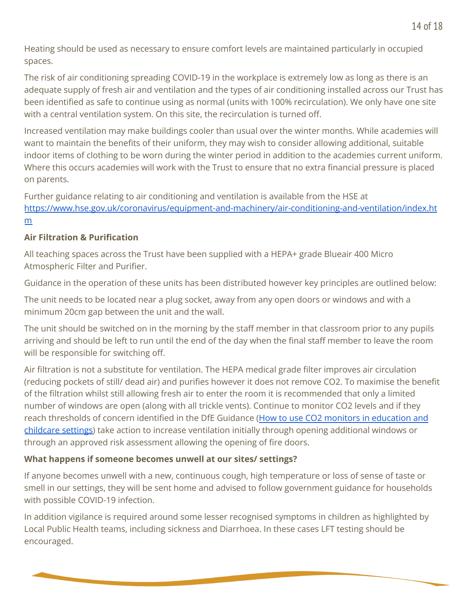Heating should be used as necessary to ensure comfort levels are maintained particularly in occupied spaces.

The risk of air conditioning spreading COVID-19 in the workplace is extremely low as long as there is an adequate supply of fresh air and ventilation and the types of air conditioning installed across our Trust has been identified as safe to continue using as normal (units with 100% recirculation). We only have one site with a central ventilation system. On this site, the recirculation is turned off.

Increased ventilation may make buildings cooler than usual over the winter months. While academies will want to maintain the benefits of their uniform, they may wish to consider allowing additional, suitable indoor items of clothing to be worn during the winter period in addition to the academies current uniform. Where this occurs academies will work with the Trust to ensure that no extra financial pressure is placed on parents.

Further guidance relating to air conditioning and ventilation is available from the HSE at [https://www.hse.gov.uk/coronavirus/equipment-and-machinery/air-conditioning-and-ventilation/index.ht](https://www.hse.gov.uk/coronavirus/equipment-and-machinery/air-conditioning-and-ventilation/index.htm) [m](https://www.hse.gov.uk/coronavirus/equipment-and-machinery/air-conditioning-and-ventilation/index.htm)

#### <span id="page-13-0"></span>**Air Filtration & Purification**

All teaching spaces across the Trust have been supplied with a HEPA+ grade Blueair 400 Micro Atmospheric Filter and Purifier.

Guidance in the operation of these units has been distributed however key principles are outlined below:

The unit needs to be located near a plug socket, away from any open doors or windows and with a minimum 20cm gap between the unit and the wall.

The unit should be switched on in the morning by the staff member in that classroom prior to any pupils arriving and should be left to run until the end of the day when the final staff member to leave the room will be responsible for switching off.

Air filtration is not a substitute for ventilation. The HEPA medical grade filter improves air circulation (reducing pockets of still/ dead air) and purifies however it does not remove CO2. To maximise the benefit of the filtration whilst still allowing fresh air to enter the room it is recommended that only a limited number of windows are open (along with all trickle vents). Continue to monitor CO2 levels and if they reach thresholds of concern identified in the DfE Guidance (How to use CO2 monitors in [education](https://drive.google.com/file/d/1BqCEiD8n8g8rLBaWa0pTFyLaXBjdWstz/view?usp=sharing) and [childcare](https://drive.google.com/file/d/1BqCEiD8n8g8rLBaWa0pTFyLaXBjdWstz/view?usp=sharing) settings) take action to increase ventilation initially through opening additional windows or through an approved risk assessment allowing the opening of fire doors.

#### <span id="page-13-1"></span>**What happens if someone becomes unwell at our sites/ settings?**

If anyone becomes unwell with a new, continuous cough, high temperature or loss of sense of taste or smell in our settings, they will be sent home and advised to follow government guidance for households with possible COVID-19 infection.

In addition vigilance is required around some lesser recognised symptoms in children as highlighted by Local Public Health teams, including sickness and Diarrhoea. In these cases LFT testing should be encouraged.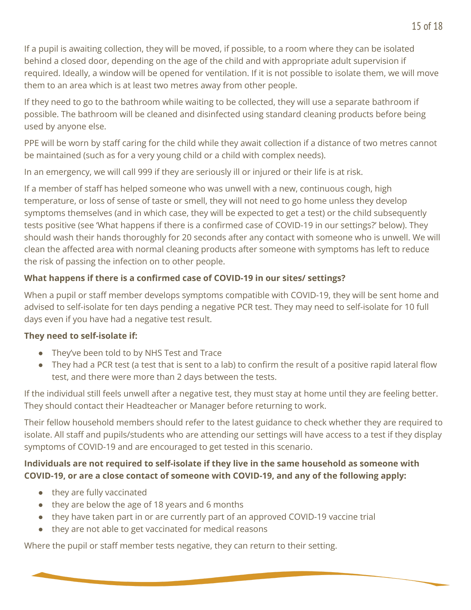If a pupil is awaiting collection, they will be moved, if possible, to a room where they can be isolated behind a closed door, depending on the age of the child and with appropriate adult supervision if required. Ideally, a window will be opened for ventilation. If it is not possible to isolate them, we will move them to an area which is at least two metres away from other people.

If they need to go to the bathroom while waiting to be collected, they will use a separate bathroom if possible. The bathroom will be cleaned and disinfected using standard cleaning products before being used by anyone else.

PPE will be worn by staff caring for the child while they await collection if a distance of two metres cannot be maintained (such as for a very young child or a child with complex needs).

In an emergency, we will call 999 if they are seriously ill or injured or their life is at risk.

If a member of staff has helped someone who was unwell with a new, continuous cough, high temperature, or loss of sense of taste or smell, they will not need to go home unless they develop symptoms themselves (and in which case, they will be expected to get a test) or the child subsequently tests positive (see 'What happens if there is a confirmed case of COVID-19 in our settings?' below). They should wash their hands thoroughly for 20 seconds after any contact with someone who is unwell. We will clean the affected area with normal cleaning products after someone with symptoms has left to reduce the risk of passing the infection on to other people.

## <span id="page-14-0"></span>**What happens if there is a confirmed case of COVID-19 in our sites/ settings?**

When a pupil or staff member develops symptoms compatible with COVID-19, they will be sent home and advised to self-isolate for ten days pending a negative PCR test. They may need to self-isolate for 10 full days even if you have had a negative test result.

## **They need to self-isolate if:**

- They've been told to by NHS Test and Trace
- They had a PCR test (a test that is sent to a lab) to confirm the result of a positive rapid lateral flow test, and there were more than 2 days between the tests.

If the individual still feels unwell after a negative test, they must stay at home until they are feeling better. They should contact their Headteacher or Manager before returning to work.

Their fellow household members should refer to the latest guidance to check whether they are required to isolate. All staff and pupils/students who are attending our settings will have access to a test if they display symptoms of COVID-19 and are encouraged to get tested in this scenario.

## **Individuals are not required to self-isolate if they live in the same household as someone with COVID-19, or are a close contact of someone with COVID-19, and any of the following apply:**

- they are fully vaccinated
- they are below the age of 18 years and 6 months
- they have taken part in or are currently part of an approved COVID-19 vaccine trial
- they are not able to get vaccinated for medical reasons

Where the pupil or staff member tests negative, they can return to their setting.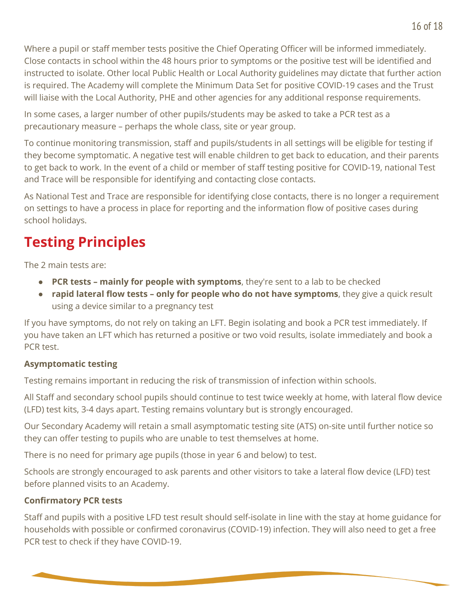Where a pupil or staff member tests positive the Chief Operating Officer will be informed immediately. Close contacts in school within the 48 hours prior to symptoms or the positive test will be identified and instructed to isolate. Other local Public Health or Local Authority guidelines may dictate that further action is required. The Academy will complete the Minimum Data Set for positive COVID-19 cases and the Trust will liaise with the Local Authority, PHE and other agencies for any additional response requirements.

In some cases, a larger number of other pupils/students may be asked to take a PCR test as a precautionary measure – perhaps the whole class, site or year group.

To continue monitoring transmission, staff and pupils/students in all settings will be eligible for testing if they become symptomatic. A negative test will enable children to get back to education, and their parents to get back to work. In the event of a child or member of staff testing positive for COVID-19, national Test and Trace will be responsible for identifying and contacting close contacts.

As National Test and Trace are responsible for identifying close contacts, there is no longer a requirement on settings to have a process in place for reporting and the information flow of positive cases during school holidays.

# <span id="page-15-0"></span>**Testing Principles**

The 2 main tests are:

- **PCR tests – mainly for people with symptoms**, they're sent to a lab to be checked
- **rapid lateral flow tests – only for people who do not have symptoms**, they give a quick result using a device similar to a pregnancy test

If you have symptoms, do not rely on taking an LFT. Begin isolating and book a PCR test immediately. If you have taken an LFT which has returned a positive or two void results, isolate immediately and book a PCR test.

#### <span id="page-15-1"></span>**Asymptomatic testing**

Testing remains important in reducing the risk of transmission of infection within schools.

All Staff and secondary school pupils should continue to test twice weekly at home, with lateral flow device (LFD) test kits, 3-4 days apart. Testing remains voluntary but is strongly encouraged.

Our Secondary Academy will retain a small asymptomatic testing site (ATS) on-site until further notice so they can offer testing to pupils who are unable to test themselves at home.

There is no need for primary age pupils (those in year 6 and below) to test.

Schools are strongly encouraged to ask parents and other visitors to take a lateral flow device (LFD) test before planned visits to an Academy.

## <span id="page-15-2"></span>**Confirmatory PCR tests**

Staff and pupils with a positive LFD test result should self-isolate in line with the stay at home guidance for households with possible or confirmed coronavirus (COVID-19) infection. They will also need to get a free PCR test to check if they have COVID-19.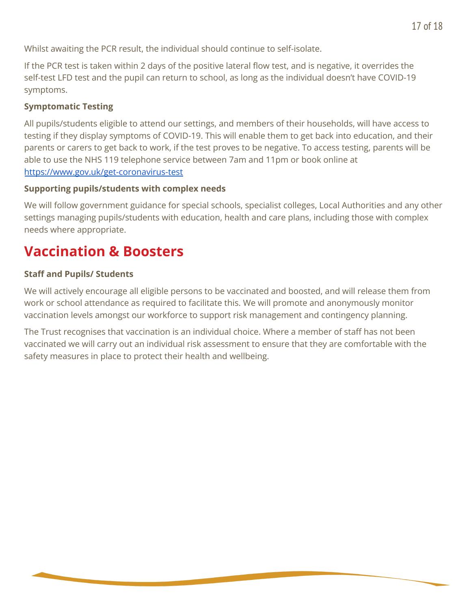Whilst awaiting the PCR result, the individual should continue to self-isolate.

If the PCR test is taken within 2 days of the positive lateral flow test, and is negative, it overrides the self-test LFD test and the pupil can return to school, as long as the individual doesn't have COVID-19 symptoms.

## <span id="page-16-0"></span>**Symptomatic Testing**

All pupils/students eligible to attend our settings, and members of their households, will have access to testing if they display symptoms of COVID-19. This will enable them to get back into education, and their parents or carers to get back to work, if the test proves to be negative. To access testing, parents will be able to use the NHS 119 telephone service between 7am and 11pm or book online at <https://www.gov.uk/get-coronavirus-test>

#### <span id="page-16-1"></span>**Supporting pupils/students with complex needs**

We will follow government guidance for special schools, specialist colleges, Local Authorities and any other settings managing pupils/students with education, health and care plans, including those with complex needs where appropriate.

# <span id="page-16-2"></span>**Vaccination & Boosters**

#### <span id="page-16-3"></span>**Staff and Pupils/ Students**

We will actively encourage all eligible persons to be vaccinated and boosted, and will release them from work or school attendance as required to facilitate this. We will promote and anonymously monitor vaccination levels amongst our workforce to support risk management and contingency planning.

The Trust recognises that vaccination is an individual choice. Where a member of staff has not been vaccinated we will carry out an individual risk assessment to ensure that they are comfortable with the safety measures in place to protect their health and wellbeing.